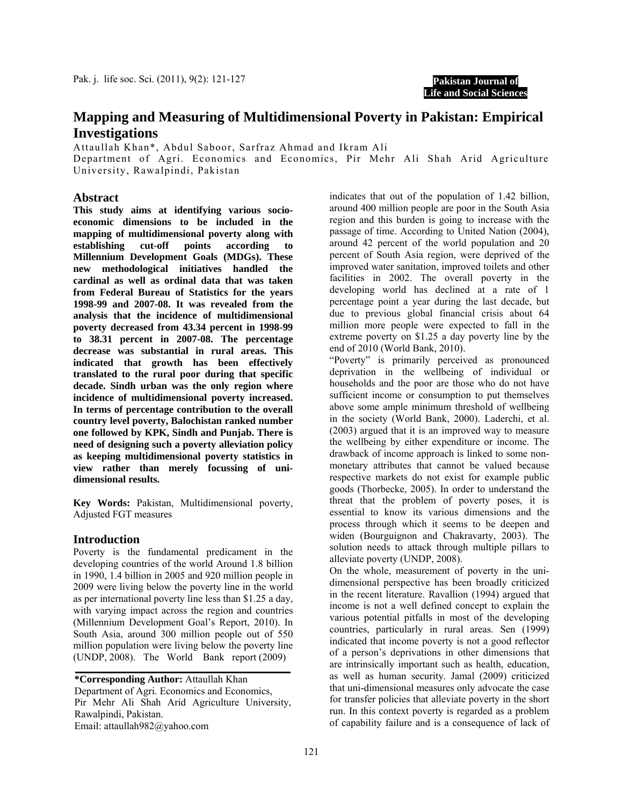### **Pakistan Journal of Life and Social Sciences**

# **Mapping and Measuring of Multidimensional Poverty in Pakistan: Empirical Investigations**

Attaullah Khan\*, Abdul Saboor, Sarfraz Ahmad and Ikram Ali

Department of Agri. Economics and Economics, Pir Mehr Ali Shah Arid Agriculture University, Rawalpindi, Pakistan

# **Abstract**

**This study aims at identifying various socioeconomic dimensions to be included in the mapping of multidimensional poverty along with establishing cut-off points according to Millennium Development Goals (MDGs). These new methodological initiatives handled the cardinal as well as ordinal data that was taken from Federal Bureau of Statistics for the years 1998-99 and 2007-08. It was revealed from the analysis that the incidence of multidimensional poverty decreased from 43.34 percent in 1998-99 to 38.31 percent in 2007-08. The percentage decrease was substantial in rural areas. This indicated that growth has been effectively translated to the rural poor during that specific decade. Sindh urban was the only region where incidence of multidimensional poverty increased. In terms of percentage contribution to the overall country level poverty, Balochistan ranked number one followed by KPK, Sindh and Punjab. There is need of designing such a poverty alleviation policy as keeping multidimensional poverty statistics in view rather than merely focussing of unidimensional results.** 

**Key Words:** Pakistan, Multidimensional poverty, Adjusted FGT measures

# **Introduction**

Poverty is the fundamental predicament in the developing countries of the world Around 1.8 billion in 1990, 1.4 billion in 2005 and 920 million people in 2009 were living below the poverty line in the world as per international poverty line less than \$1.25 a day, with varying impact across the region and countries (Millennium Development Goal's Report, 2010). In South Asia, around 300 million people out of 550 million population were living below the poverty line (UNDP, 2008). The World Bank report (2009)

**\*Corresponding Author:** Attaullah Khan Department of Agri. Economics and Economics, Pir Mehr Ali Shah Arid Agriculture University, Rawalpindi, Pakistan. Email: attaullah982@yahoo.com

indicates that out of the population of 1.42 billion, around 400 million people are poor in the South Asia region and this burden is going to increase with the passage of time. According to United Nation (2004), around 42 percent of the world population and 20 percent of South Asia region, were deprived of the improved water sanitation, improved toilets and other facilities in 2002. The overall poverty in the developing world has declined at a rate of 1 percentage point a year during the last decade, but due to previous global financial crisis about 64 million more people were expected to fall in the extreme poverty on \$1.25 a day poverty line by the end of 2010 (World Bank, 2010).

"Poverty" is primarily perceived as pronounced deprivation in the wellbeing of individual or households and the poor are those who do not have sufficient income or consumption to put themselves above some ample minimum threshold of wellbeing in the society (World Bank, 2000). Laderchi, et al. (2003) argued that it is an improved way to measure the wellbeing by either expenditure or income. The drawback of income approach is linked to some nonmonetary attributes that cannot be valued because respective markets do not exist for example public goods (Thorbecke, 2005). In order to understand the threat that the problem of poverty poses, it is essential to know its various dimensions and the process through which it seems to be deepen and widen (Bourguignon and Chakravarty, 2003). The solution needs to attack through multiple pillars to alleviate poverty (UNDP, 2008).

On the whole, measurement of poverty in the unidimensional perspective has been broadly criticized in the recent literature. Ravallion (1994) argued that income is not a well defined concept to explain the various potential pitfalls in most of the developing countries, particularly in rural areas. Sen (1999) indicated that income poverty is not a good reflector of a person's deprivations in other dimensions that are intrinsically important such as health, education, as well as human security. Jamal (2009) criticized that uni-dimensional measures only advocate the case for transfer policies that alleviate poverty in the short run. In this context poverty is regarded as a problem of capability failure and is a consequence of lack of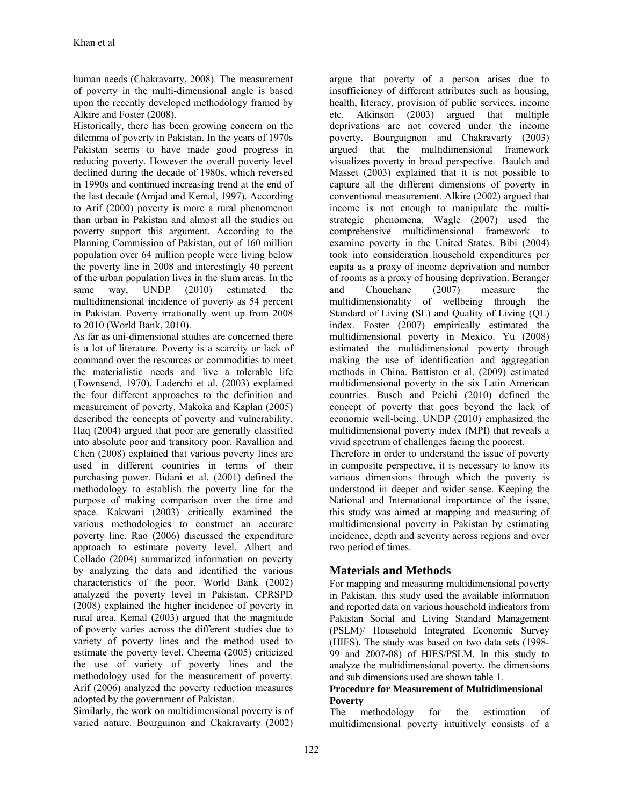human needs (Chakravarty, 2008). The measurement of poverty in the multi-dimensional angle is based upon the recently developed methodology framed by Alkire and Foster (2008).

Historically, there has been growing concern on the dilemma of poverty in Pakistan. In the years of 1970s Pakistan seems to have made good progress in reducing poverty. However the overall poverty level declined during the decade of 1980s, which reversed in 1990s and continued increasing trend at the end of the last decade (Amjad and Kemal, 1997). According to Arif (2000) poverty is more a rural phenomenon than urban in Pakistan and almost all the studies on poverty support this argument. According to the Planning Commission of Pakistan, out of 160 million population over 64 million people were living below the poverty line in 2008 and interestingly 40 percent of the urban population lives in the slum areas. In the same way, UNDP (2010) estimated the multidimensional incidence of poverty as 54 percent in Pakistan. Poverty irrationally went up from 2008 to 2010 (World Bank, 2010).

As far as uni-dimensional studies are concerned there is a lot of literature. Poverty is a scarcity or lack of command over the resources or commodities to meet the materialistic needs and live a tolerable life (Townsend, 1970). Laderchi et al. (2003) explained the four different approaches to the definition and measurement of poverty. Makoka and Kaplan (2005) described the concepts of poverty and vulnerability. Haq (2004) argued that poor are generally classified into absolute poor and transitory poor. Ravallion and Chen (2008) explained that various poverty lines are used in different countries in terms of their purchasing power. Bidani et al. (2001) defined the methodology to establish the poverty line for the purpose of making comparison over the time and space. Kakwani (2003) critically examined the various methodologies to construct an accurate poverty line. Rao (2006) discussed the expenditure approach to estimate poverty level. Albert and Collado (2004) summarized information on poverty by analyzing the data and identified the various characteristics of the poor. World Bank (2002) analyzed the poverty level in Pakistan. CPRSPD (2008) explained the higher incidence of poverty in rural area. Kemal (2003) argued that the magnitude of poverty varies across the different studies due to variety of poverty lines and the method used to estimate the poverty level. Cheema (2005) criticized the use of variety of poverty lines and the methodology used for the measurement of poverty. Arif (2006) analyzed the poverty reduction measures adopted by the government of Pakistan.

Similarly, the work on multidimensional poverty is of varied nature. Bourguinon and Ckakravarty (2002)

argue that poverty of a person arises due to insufficiency of different attributes such as housing, health, literacy, provision of public services, income etc. Atkinson (2003) argued that multiple deprivations are not covered under the income poverty. Bourguignon and Chakravarty (2003) argued that the multidimensional framework visualizes poverty in broad perspective. Baulch and Masset (2003) explained that it is not possible to capture all the different dimensions of poverty in conventional measurement. Alkire (2002) argued that income is not enough to manipulate the multistrategic phenomena. Wagle (2007) used the comprehensive multidimensional framework to examine poverty in the United States. Bibi (2004) took into consideration household expenditures per capita as a proxy of income deprivation and number of rooms as a proxy of housing deprivation. Beranger and Chouchane (2007) measure the multidimensionality of wellbeing through the Standard of Living (SL) and Quality of Living (QL) index. Foster (2007) empirically estimated the multidimensional poverty in Mexico. Yu (2008) estimated the multidimensional poverty through making the use of identification and aggregation methods in China. Battiston et al. (2009) estimated multidimensional poverty in the six Latin American countries. Busch and Peichi (2010) defined the concept of poverty that goes beyond the lack of economic well-being. UNDP (2010) emphasized the multidimensional poverty index (MPI) that reveals a vivid spectrum of challenges facing the poorest.

Therefore in order to understand the issue of poverty in composite perspective, it is necessary to know its various dimensions through which the poverty is understood in deeper and wider sense. Keeping the National and International importance of the issue, this study was aimed at mapping and measuring of multidimensional poverty in Pakistan by estimating incidence, depth and severity across regions and over two period of times.

# **Materials and Methods**

For mapping and measuring multidimensional poverty in Pakistan, this study used the available information and reported data on various household indicators from Pakistan Social and Living Standard Management (PSLM)/ Household Integrated Economic Survey (HIES). The study was based on two data sets (1998- 99 and 2007-08) of HIES/PSLM. In this study to analyze the multidimensional poverty, the dimensions and sub dimensions used are shown table 1.

# **Procedure for Measurement of Multidimensional Poverty**

The methodology for the estimation of multidimensional poverty intuitively consists of a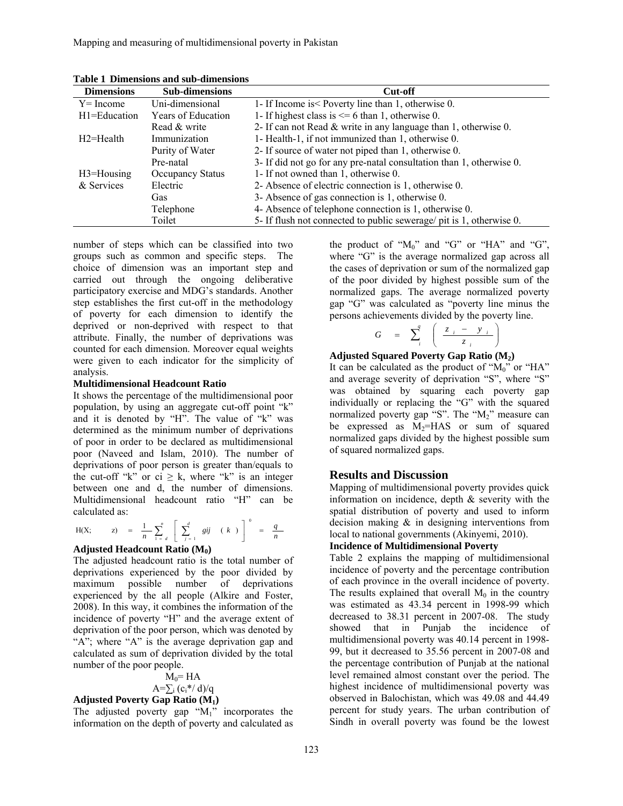| <b>Dimensions</b>         | <b>Sub-dimensions</b>   | Cut-off                                                              |
|---------------------------|-------------------------|----------------------------------------------------------------------|
| $Y = Income$              | Uni-dimensional         | 1- If Income is< Poverty line than 1, otherwise 0.                   |
| H <sub>1</sub> =Education | Years of Education      | 1- If highest class is $\leq$ 6 than 1, otherwise 0.                 |
|                           | Read & write            | 2- If can not Read $&$ write in any language than 1, otherwise 0.    |
| $H2 = Health$             | Immunization            | 1- Health-1, if not immunized than 1, otherwise 0.                   |
|                           | Purity of Water         | 2- If source of water not piped than 1, otherwise 0.                 |
|                           | Pre-natal               | 3- If did not go for any pre-natal consultation than 1, otherwise 0. |
| $H3 = Housing$            | <b>Occupancy Status</b> | 1- If not owned than 1, otherwise 0.                                 |
| & Services                | Electric                | 2- Absence of electric connection is 1, otherwise 0.                 |
|                           | <b>Gas</b>              | 3- Absence of gas connection is 1, otherwise 0.                      |
|                           | Telephone               | 4- Absence of telephone connection is 1, otherwise 0.                |
|                           | Toilet                  | 5- If flush not connected to public sewerage/ pit is 1, otherwise 0. |

**Table 1 Dimensions and sub-dimensions** 

number of steps which can be classified into two groups such as common and specific steps. The choice of dimension was an important step and carried out through the ongoing deliberative participatory exercise and MDG's standards. Another step establishes the first cut-off in the methodology of poverty for each dimension to identify the deprived or non-deprived with respect to that attribute. Finally, the number of deprivations was counted for each dimension. Moreover equal weights were given to each indicator for the simplicity of analysis.

#### **Multidimensional Headcount Ratio**

It shows the percentage of the multidimensional poor population, by using an aggregate cut-off point "k" and it is denoted by "H". The value of "k" was determined as the minimum number of deprivations of poor in order to be declared as multidimensional poor (Naveed and Islam, 2010). The number of deprivations of poor person is greater than/equals to the cut-off "k" or ci  $\geq$  k, where "k" is an integer between one and d, the number of dimensions. Multidimensional headcount ratio "H" can be calculated as:

$$
H(X; \t z) = \frac{1}{n} \sum_{i=1}^{n} \left[ \sum_{j=1}^{d} gij \ (k) \right]^{0} = \frac{q}{n}
$$

### Adjusted Headcount Ratio (M<sub>0</sub>)

The adjusted headcount ratio is the total number of deprivations experienced by the poor divided by maximum possible number of deprivations experienced by the all people (Alkire and Foster, 2008). In this way, it combines the information of the incidence of poverty "H" and the average extent of deprivation of the poor person, which was denoted by "A"; where "A" is the average deprivation gap and calculated as sum of deprivation divided by the total number of the poor people.

$$
M_0=HA
$$
  
\n
$$
A=\sum_i (c_i^*/d)/q
$$
  
\n**Adjusted Poverty Gap Ratio**  $(M_1)$ 

The adjusted poverty gap " $M_1$ " incorporates the information on the depth of poverty and calculated as

the product of " $M_0$ " and "G" or "HA" and "G", where "G" is the average normalized gap across all the cases of deprivation or sum of the normalized gap of the poor divided by highest possible sum of the normalized gaps. The average normalized poverty gap "G" was calculated as "poverty line minus the persons achievements divided by the poverty line.

$$
G = \sum_{i}^{q} \left( \frac{z_{i} - y_{i}}{z_{i}} \right)
$$

### Adjusted Squared Poverty Gap Ratio (M<sub>2</sub>)

It can be calculated as the product of " $M_0$ " or "HA" and average severity of deprivation "S", where "S" was obtained by squaring each poverty gap individually or replacing the "G" with the squared normalized poverty gap "S". The "M<sub>2</sub>" measure can be expressed as  $M_2=HAS$  or sum of squared normalized gaps divided by the highest possible sum of squared normalized gaps.

#### **Results and Discussion**

Mapping of multidimensional poverty provides quick information on incidence, depth & severity with the spatial distribution of poverty and used to inform decision making & in designing interventions from local to national governments (Akinyemi, 2010).

# **Incidence of Multidimensional Poverty**

Table 2 explains the mapping of multidimensional incidence of poverty and the percentage contribution of each province in the overall incidence of poverty. The results explained that overall  $M_0$  in the country was estimated as 43.34 percent in 1998-99 which decreased to 38.31 percent in 2007-08. The study showed that in Punjab the incidence of multidimensional poverty was 40.14 percent in 1998- 99, but it decreased to 35.56 percent in 2007-08 and the percentage contribution of Punjab at the national level remained almost constant over the period. The highest incidence of multidimensional poverty was observed in Balochistan, which was 49.08 and 44.49 percent for study years. The urban contribution of Sindh in overall poverty was found be the lowest

*n*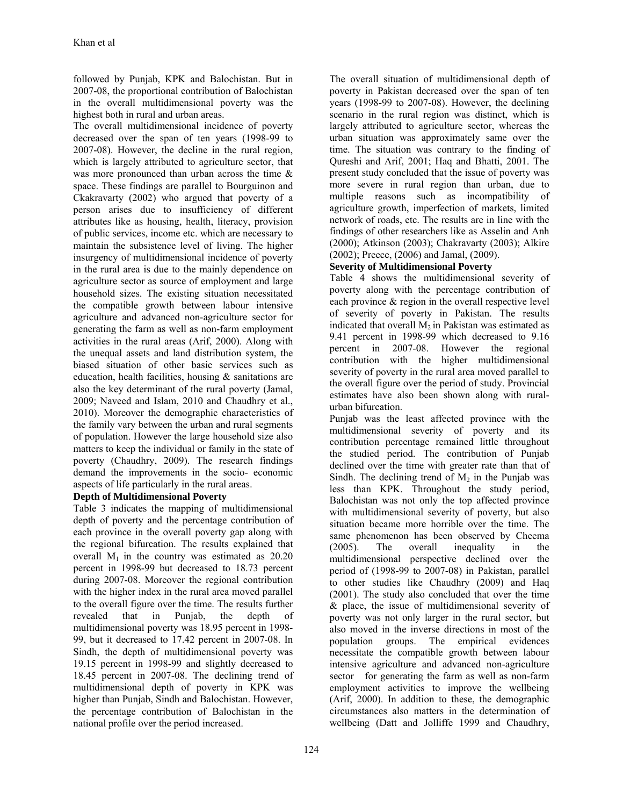followed by Punjab, KPK and Balochistan. But in 2007-08, the proportional contribution of Balochistan in the overall multidimensional poverty was the highest both in rural and urban areas.

The overall multidimensional incidence of poverty decreased over the span of ten years (1998-99 to 2007-08). However, the decline in the rural region, which is largely attributed to agriculture sector, that was more pronounced than urban across the time & space. These findings are parallel to Bourguinon and Ckakravarty (2002) who argued that poverty of a person arises due to insufficiency of different attributes like as housing, health, literacy, provision of public services, income etc. which are necessary to maintain the subsistence level of living. The higher insurgency of multidimensional incidence of poverty in the rural area is due to the mainly dependence on agriculture sector as source of employment and large household sizes. The existing situation necessitated the compatible growth between labour intensive agriculture and advanced non-agriculture sector for generating the farm as well as non-farm employment activities in the rural areas (Arif, 2000). Along with the unequal assets and land distribution system, the biased situation of other basic services such as education, health facilities, housing  $\&$  sanitations are also the key determinant of the rural poverty (Jamal, 2009; Naveed and Islam, 2010 and Chaudhry et al., 2010). Moreover the demographic characteristics of the family vary between the urban and rural segments of population. However the large household size also matters to keep the individual or family in the state of poverty (Chaudhry, 2009). The research findings demand the improvements in the socio- economic aspects of life particularly in the rural areas.

### **Depth of Multidimensional Poverty**

Table 3 indicates the mapping of multidimensional depth of poverty and the percentage contribution of each province in the overall poverty gap along with the regional bifurcation. The results explained that overall  $M_1$  in the country was estimated as  $20.20$ percent in 1998-99 but decreased to 18.73 percent during 2007-08. Moreover the regional contribution with the higher index in the rural area moved parallel to the overall figure over the time. The results further revealed that in Punjab, the depth of multidimensional poverty was 18.95 percent in 1998- 99, but it decreased to 17.42 percent in 2007-08. In Sindh, the depth of multidimensional poverty was 19.15 percent in 1998-99 and slightly decreased to 18.45 percent in 2007-08. The declining trend of multidimensional depth of poverty in KPK was higher than Punjab, Sindh and Balochistan. However, the percentage contribution of Balochistan in the national profile over the period increased.

The overall situation of multidimensional depth of poverty in Pakistan decreased over the span of ten years (1998-99 to 2007-08). However, the declining scenario in the rural region was distinct, which is largely attributed to agriculture sector, whereas the urban situation was approximately same over the time. The situation was contrary to the finding of Qureshi and Arif, 2001; Haq and Bhatti, 2001. The present study concluded that the issue of poverty was more severe in rural region than urban, due to multiple reasons such as incompatibility of agriculture growth, imperfection of markets, limited network of roads, etc. The results are in line with the findings of other researchers like as Asselin and Anh (2000); Atkinson (2003); Chakravarty (2003); Alkire (2002); Preece, (2006) and Jamal, (2009).

# **Severity of Multidimensional Poverty**

Table 4 shows the multidimensional severity of poverty along with the percentage contribution of each province & region in the overall respective level of severity of poverty in Pakistan. The results indicated that overall  $M<sub>2</sub>$  in Pakistan was estimated as 9.41 percent in 1998-99 which decreased to 9.16 percent in 2007-08. However the regional contribution with the higher multidimensional severity of poverty in the rural area moved parallel to the overall figure over the period of study. Provincial estimates have also been shown along with ruralurban bifurcation.

Punjab was the least affected province with the multidimensional severity of poverty and its contribution percentage remained little throughout the studied period. The contribution of Punjab declined over the time with greater rate than that of Sindh. The declining trend of  $M_2$  in the Punjab was less than KPK. Throughout the study period, Balochistan was not only the top affected province with multidimensional severity of poverty, but also situation became more horrible over the time. The same phenomenon has been observed by Cheema (2005). The overall inequality in the multidimensional perspective declined over the period of (1998-99 to 2007-08) in Pakistan, parallel to other studies like Chaudhry (2009) and Haq (2001). The study also concluded that over the time & place, the issue of multidimensional severity of poverty was not only larger in the rural sector, but also moved in the inverse directions in most of the population groups. The empirical evidences necessitate the compatible growth between labour intensive agriculture and advanced non-agriculture sector for generating the farm as well as non-farm employment activities to improve the wellbeing (Arif, 2000). In addition to these, the demographic circumstances also matters in the determination of wellbeing (Datt and Jolliffe 1999 and Chaudhry,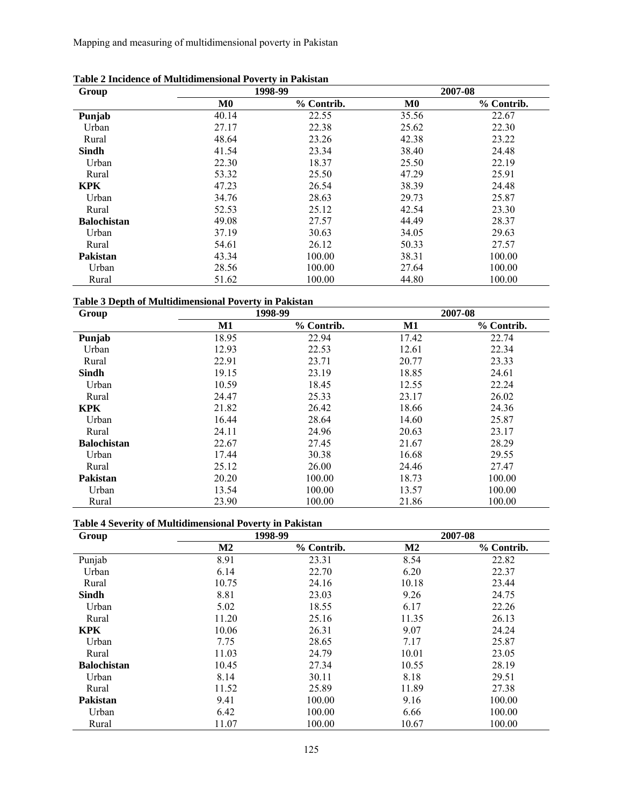Mapping and measuring of multidimensional poverty in Pakistan

| Group              | 1998-99  |            | 2007-08        |            |
|--------------------|----------|------------|----------------|------------|
|                    | $\bf M0$ | % Contrib. | M <sub>0</sub> | % Contrib. |
| Punjab             | 40.14    | 22.55      | 35.56          | 22.67      |
| Urban              | 27.17    | 22.38      | 25.62          | 22.30      |
| Rural              | 48.64    | 23.26      | 42.38          | 23.22      |
| <b>Sindh</b>       | 41.54    | 23.34      | 38.40          | 24.48      |
| Urban              | 22.30    | 18.37      | 25.50          | 22.19      |
| Rural              | 53.32    | 25.50      | 47.29          | 25.91      |
| <b>KPK</b>         | 47.23    | 26.54      | 38.39          | 24.48      |
| Urban              | 34.76    | 28.63      | 29.73          | 25.87      |
| Rural              | 52.53    | 25.12      | 42.54          | 23.30      |
| <b>Balochistan</b> | 49.08    | 27.57      | 44.49          | 28.37      |
| Urban              | 37.19    | 30.63      | 34.05          | 29.63      |
| Rural              | 54.61    | 26.12      | 50.33          | 27.57      |
| Pakistan           | 43.34    | 100.00     | 38.31          | 100.00     |
| Urban              | 28.56    | 100.00     | 27.64          | 100.00     |
| Rural              | 51.62    | 100.00     | 44.80          | 100.00     |

# **Table 2 Incidence of Multidimensional Poverty in Pakistan**

# **Table 3 Depth of Multidimensional Poverty in Pakistan**

| Group              | 1998-99 |            | 2007-08 |            |
|--------------------|---------|------------|---------|------------|
|                    | M1      | % Contrib. | M1      | % Contrib. |
| Punjab             | 18.95   | 22.94      | 17.42   | 22.74      |
| Urban              | 12.93   | 22.53      | 12.61   | 22.34      |
| Rural              | 22.91   | 23.71      | 20.77   | 23.33      |
| <b>Sindh</b>       | 19.15   | 23.19      | 18.85   | 24.61      |
| Urban              | 10.59   | 18.45      | 12.55   | 22.24      |
| Rural              | 24.47   | 25.33      | 23.17   | 26.02      |
| <b>KPK</b>         | 21.82   | 26.42      | 18.66   | 24.36      |
| Urban              | 16.44   | 28.64      | 14.60   | 25.87      |
| Rural              | 24.11   | 24.96      | 20.63   | 23.17      |
| <b>Balochistan</b> | 22.67   | 27.45      | 21.67   | 28.29      |
| Urban              | 17.44   | 30.38      | 16.68   | 29.55      |
| Rural              | 25.12   | 26.00      | 24.46   | 27.47      |
| Pakistan           | 20.20   | 100.00     | 18.73   | 100.00     |
| Urban              | 13.54   | 100.00     | 13.57   | 100.00     |
| Rural              | 23.90   | 100.00     | 21.86   | 100.00     |

# **Table 4 Severity of Multidimensional Poverty in Pakistan**

| Group              | 1998-99       |            | 2007-08        |            |
|--------------------|---------------|------------|----------------|------------|
|                    | $\mathbf{M2}$ | % Contrib. | M <sub>2</sub> | % Contrib. |
| Punjab             | 8.91          | 23.31      | 8.54           | 22.82      |
| Urban              | 6.14          | 22.70      | 6.20           | 22.37      |
| Rural              | 10.75         | 24.16      | 10.18          | 23.44      |
| <b>Sindh</b>       | 8.81          | 23.03      | 9.26           | 24.75      |
| Urban              | 5.02          | 18.55      | 6.17           | 22.26      |
| Rural              | 11.20         | 25.16      | 11.35          | 26.13      |
| <b>KPK</b>         | 10.06         | 26.31      | 9.07           | 24.24      |
| Urban              | 7.75          | 28.65      | 7.17           | 25.87      |
| Rural              | 11.03         | 24.79      | 10.01          | 23.05      |
| <b>Balochistan</b> | 10.45         | 27.34      | 10.55          | 28.19      |
| Urban              | 8.14          | 30.11      | 8.18           | 29.51      |
| Rural              | 11.52         | 25.89      | 11.89          | 27.38      |
| Pakistan           | 9.41          | 100.00     | 9.16           | 100.00     |
| Urban              | 6.42          | 100.00     | 6.66           | 100.00     |
| Rural              | 11.07         | 100.00     | 10.67          | 100.00     |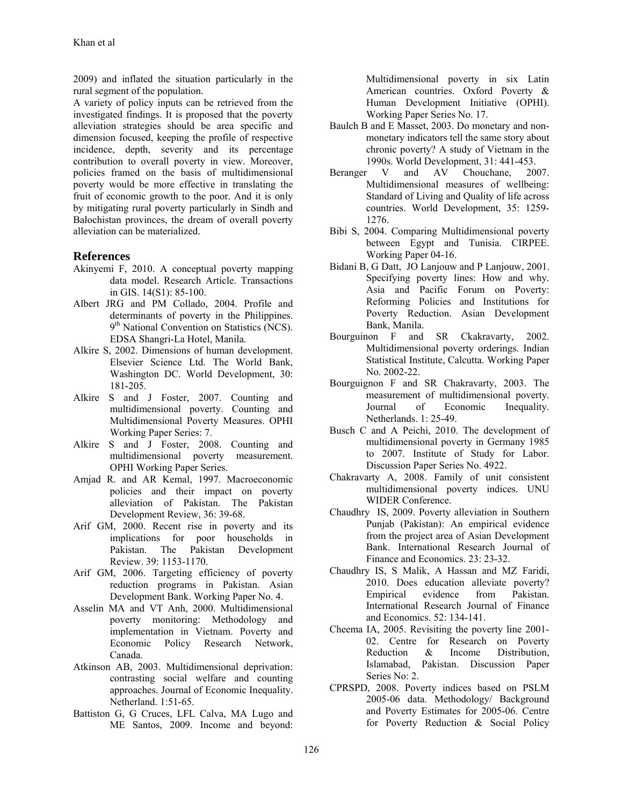2009) and inflated the situation particularly in the rural segment of the population.

A variety of policy inputs can be retrieved from the investigated findings. It is proposed that the poverty alleviation strategies should be area specific and dimension focused, keeping the profile of respective incidence, depth, severity and its percentage contribution to overall poverty in view. Moreover, policies framed on the basis of multidimensional poverty would be more effective in translating the fruit of economic growth to the poor. And it is only by mitigating rural poverty particularly in Sindh and Balochistan provinces, the dream of overall poverty alleviation can be materialized.

### **References**

- Akinyemi F, 2010. A conceptual poverty mapping data model. Research Article. Transactions in GIS. 14(S1): 85-100.
- Albert JRG and PM Collado, 2004. Profile and determinants of poverty in the Philippines. 9<sup>th</sup> National Convention on Statistics (NCS). EDSA Shangri-La Hotel, Manila.
- Alkire S, 2002. Dimensions of human development. Elsevier Science Ltd. The World Bank, Washington DC. World Development, 30: 181-205.
- Alkire S and J Foster, 2007. Counting and multidimensional poverty. Counting and Multidimensional Poverty Measures. OPHI Working Paper Series: 7.
- Alkire S and J Foster, 2008. Counting and multidimensional poverty measurement. OPHI Working Paper Series.
- Amjad R. and AR Kemal, 1997. Macroeconomic policies and their impact on poverty alleviation of Pakistan. The Pakistan Development Review, 36: 39-68.
- Arif GM, 2000. Recent rise in poverty and its implications for poor households in Pakistan. The Pakistan Development Review. 39: 1153-1170.
- Arif GM, 2006. Targeting efficiency of poverty reduction programs in Pakistan. Asian Development Bank. Working Paper No. 4.
- Asselin MA and VT Anh, 2000. Multidimensional poverty monitoring: Methodology and implementation in Vietnam. Poverty and Economic Policy Research Network, Canada.
- Atkinson AB, 2003. Multidimensional deprivation: contrasting social welfare and counting approaches. Journal of Economic Inequality. Netherland. 1:51-65.
- Battiston G, G Cruces, LFL Calva, MA Lugo and ME Santos, 2009. Income and beyond:

Multidimensional poverty in six Latin American countries. Oxford Poverty & Human Development Initiative (OPHI). Working Paper Series No. 17.

- Baulch B and E Masset, 2003. Do monetary and nonmonetary indicators tell the same story about chronic poverty? A study of Vietnam in the 1990s. World Development, 31: 441-453.
- Beranger V and AV Chouchane, 2007. Multidimensional measures of wellbeing: Standard of Living and Quality of life across countries. World Development, 35: 1259- 1276.
- Bibi S, 2004. Comparing Multidimensional poverty between Egypt and Tunisia. CIRPEE. Working Paper 04-16.
- Bidani B, G Datt, JO Lanjouw and P Lanjouw, 2001. Specifying poverty lines: How and why. Asia and Pacific Forum on Poverty: Reforming Policies and Institutions for Poverty Reduction. Asian Development Bank, Manila.
- Bourguinon F and SR Ckakravarty, 2002. Multidimensional poverty orderings. Indian Statistical Institute, Calcutta. Working Paper No. 2002-22.
- Bourguignon F and SR Chakravarty, 2003. The measurement of multidimensional poverty. Journal of Economic Inequality. Netherlands. 1: 25-49.
- Busch C and A Peichi, 2010. The development of multidimensional poverty in Germany 1985 to 2007. Institute of Study for Labor. Discussion Paper Series No. 4922.
- Chakravarty A, 2008. Family of unit consistent multidimensional poverty indices. UNU WIDER Conference.
- Chaudhry IS, 2009. Poverty alleviation in Southern Punjab (Pakistan): An empirical evidence from the project area of Asian Development Bank. International Research Journal of Finance and Economics. 23: 23-32.
- Chaudhry IS, S Malik, A Hassan and MZ Faridi, 2010. Does education alleviate poverty? Empirical evidence from Pakistan. International Research Journal of Finance and Economics. 52: 134-141.
- Cheema IA, 2005. Revisiting the poverty line 2001- 02. Centre for Research on Poverty Reduction & Income Distribution, Islamabad, Pakistan. Discussion Paper Series No: 2.
- CPRSPD, 2008. Poverty indices based on PSLM 2005-06 data. Methodology/ Background and Poverty Estimates for 2005-06. Centre for Poverty Reduction & Social Policy